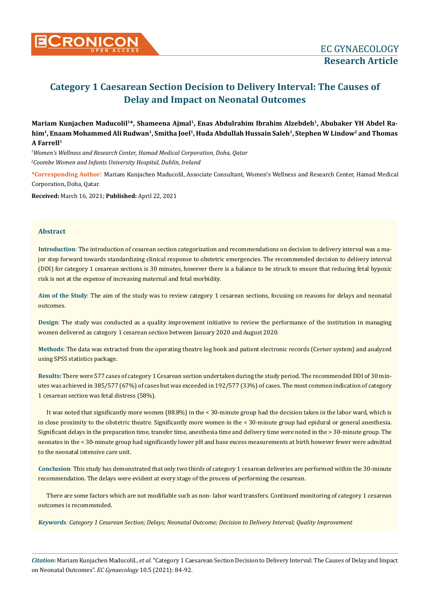

# **Category 1 Caesarean Section Decision to Delivery Interval: The Causes of Delay and Impact on Neonatal Outcomes**

**Mariam Kunjachen Maducolil1\*, Shameena Ajmal1, Enas Abdulrahim Ibrahim Alzebdeh1, Abubaker YH Abdel Ra**him<sup>1</sup>, Enaam Mohammed Ali Rudwan<sup>1</sup>, Smitha Joel<sup>1</sup>, Huda Abdullah Hussain Saleh<sup>1</sup>, Stephen W Lindow<sup>2</sup> and Thomas **A Farrell1**

*1 Women's Wellness and Research Center, Hamad Medical Corporation, Doha, Qatar 2 Coombe Women and Infants University Hospital, Dublin, Ireland*

**\*Corresponding Author**: Mariam Kunjachen Maducolil, Associate Consultant, Women's Wellness and Research Center, Hamad Medical Corporation, Doha, Qatar.

**Received:** March 16, 2021; **Published:** April 22, 2021

## **Abstract**

**Introduction**: The introduction of cesarean section categorization and recommendations on decision to delivery interval was a major step forward towards standardizing clinical response to obstetric emergencies. The recommended decision to delivery interval (DDI) for category 1 cesarean sections is 30 minutes, however there is a balance to be struck to ensure that reducing fetal hypoxic risk is not at the expense of increasing maternal and fetal morbidity.

**Aim of the Study**: The aim of the study was to review category 1 cesarean sections, focusing on reasons for delays and neonatal outcomes.

**Design**: The study was conducted as a quality improvement initiative to review the performance of the institution in managing women delivered as category 1 cesarean section between January 2020 and August 2020.

**Methods**: The data was extracted from the operating theatre log book and patient electronic records (Cerner system) and analyzed using SPSS statistics package.

**Results:** There were 577 cases of category 1 Cesarean section undertaken during the study period. The recommended DDI of 30 minutes was achieved in 385/577 (67%) of cases but was exceeded in 192/577 (33%) of cases. The most common indication of category 1 cesarean section was fetal distress (58%).

It was noted that significantly more women (88.8%) in the < 30-minute group had the decision taken in the labor ward, which is in close proximity to the obstetric theatre. Significantly more women in the < 30-minute group had epidural or general anesthesia. Significant delays in the preparation time, transfer time, anesthesia time and delivery time were noted in the > 30-minute group. The neonates in the < 30-minute group had significantly lower pH and base excess measurements at birth however fewer were admitted to the neonatal intensive care unit.

**Conclusion**: This study has demonstrated that only two thirds of category 1 cesarean deliveries are performed within the 30-minute recommendation. The delays were evident at every stage of the process of performing the cesarean.

There are some factors which are not modifiable such as non-labor ward transfers. Continued monitoring of category 1 cesarean outcomes is recommended.

*Keywords: Category 1 Cesarean Section; Delays; Neonatal Outcome; Decision to Delivery Interval; Quality Improvement*

*Citation:* Mariam Kunjachen Maducolil., *et al.* "Category 1 Caesarean Section Decision to Delivery Interval: The Causes of Delay and Impact on Neonatal Outcomes". *EC Gynaecology* 10.5 (2021): 84-92.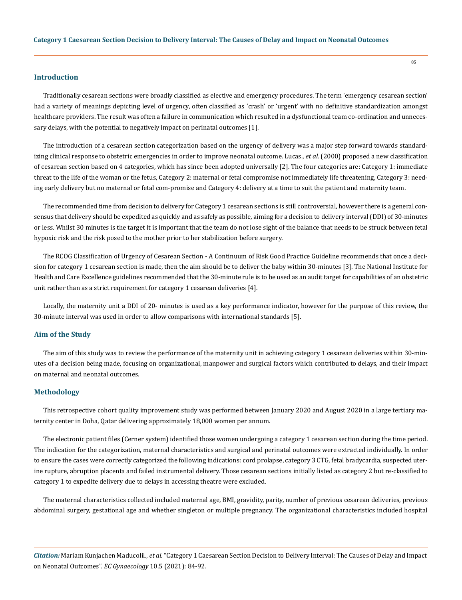#### **Introduction**

Traditionally cesarean sections were broadly classified as elective and emergency procedures. The term 'emergency cesarean section' had a variety of meanings depicting level of urgency, often classified as 'crash' or 'urgent' with no definitive standardization amongst healthcare providers. The result was often a failure in communication which resulted in a dysfunctional team co-ordination and unnecessary delays, with the potential to negatively impact on perinatal outcomes [1].

The introduction of a cesarean section categorization based on the urgency of delivery was a major step forward towards standardizing clinical response to obstetric emergencies in order to improve neonatal outcome. Lucas., *et al*. (2000) proposed a new classification of cesarean section based on 4 categories, which has since been adopted universally [2]. The four categories are: Category 1: immediate threat to the life of the woman or the fetus, Category 2: maternal or fetal compromise not immediately life threatening, Category 3: needing early delivery but no maternal or fetal com-promise and Category 4: delivery at a time to suit the patient and maternity team.

The recommended time from decision to delivery for Category 1 cesarean sections is still controversial, however there is a general consensus that delivery should be expedited as quickly and as safely as possible, aiming for a decision to delivery interval (DDI) of 30-minutes or less. Whilst 30 minutes is the target it is important that the team do not lose sight of the balance that needs to be struck between fetal hypoxic risk and the risk posed to the mother prior to her stabilization before surgery.

The RCOG Classification of Urgency of Cesarean Section - A Continuum of Risk Good Practice Guideline recommends that once a decision for category 1 cesarean section is made, then the aim should be to deliver the baby within 30-minutes [3]. The National Institute for Health and Care Excellence guidelines recommended that the 30-minute rule is to be used as an audit target for capabilities of an obstetric unit rather than as a strict requirement for category 1 cesarean deliveries [4].

Locally, the maternity unit a DDI of 20- minutes is used as a key performance indicator, however for the purpose of this review, the 30-minute interval was used in order to allow comparisons with international standards [5].

#### **Aim of the Study**

The aim of this study was to review the performance of the maternity unit in achieving category 1 cesarean deliveries within 30-minutes of a decision being made, focusing on organizational, manpower and surgical factors which contributed to delays, and their impact on maternal and neonatal outcomes.

## **Methodology**

This retrospective cohort quality improvement study was performed between January 2020 and August 2020 in a large tertiary maternity center in Doha, Qatar delivering approximately 18,000 women per annum.

The electronic patient files (Cerner system) identified those women undergoing a category 1 cesarean section during the time period. The indication for the categorization, maternal characteristics and surgical and perinatal outcomes were extracted individually. In order to ensure the cases were correctly categorized the following indications: cord prolapse, category 3 CTG, fetal bradycardia, suspected uterine rupture, abruption placenta and failed instrumental delivery. Those cesarean sections initially listed as category 2 but re-classified to category 1 to expedite delivery due to delays in accessing theatre were excluded.

The maternal characteristics collected included maternal age, BMI, gravidity, parity, number of previous cesarean deliveries, previous abdominal surgery, gestational age and whether singleton or multiple pregnancy. The organizational characteristics included hospital

*Citation:* Mariam Kunjachen Maducolil., *et al.* "Category 1 Caesarean Section Decision to Delivery Interval: The Causes of Delay and Impact on Neonatal Outcomes". *EC Gynaecology* 10.5 (2021): 84-92.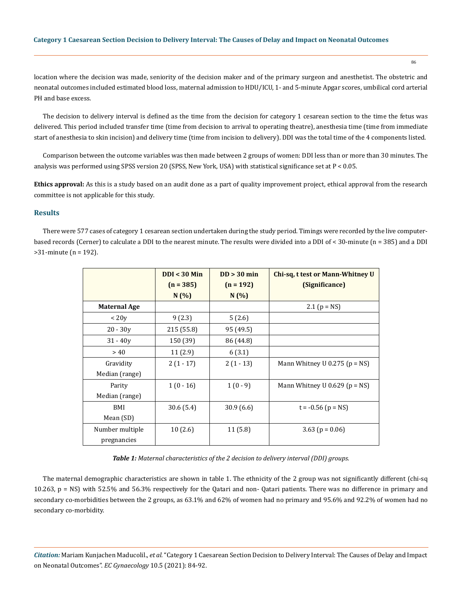86

location where the decision was made, seniority of the decision maker and of the primary surgeon and anesthetist. The obstetric and neonatal outcomes included estimated blood loss, maternal admission to HDU/ICU, 1- and 5-minute Apgar scores, umbilical cord arterial PH and base excess.

The decision to delivery interval is defined as the time from the decision for category 1 cesarean section to the time the fetus was delivered. This period included transfer time (time from decision to arrival to operating theatre), anesthesia time (time from immediate start of anesthesia to skin incision) and delivery time (time from incision to delivery). DDI was the total time of the 4 components listed.

Comparison between the outcome variables was then made between 2 groups of women: DDI less than or more than 30 minutes. The analysis was performed using SPSS version 20 (SPSS, New York, USA) with statistical significance set at P < 0.05.

**Ethics approval:** As this is a study based on an audit done as a part of quality improvement project, ethical approval from the research committee is not applicable for this study.

## **Results**

There were 577 cases of category 1 cesarean section undertaken during the study period. Timings were recorded by the live computerbased records (Cerner) to calculate a DDI to the nearest minute. The results were divided into a DDI of < 30-minute (n = 385) and a DDI >31-minute (n = 192).

|                     | $DDI < 30$ Min | $DD > 30$ min | Chi-sq, t test or Mann-Whitney U    |
|---------------------|----------------|---------------|-------------------------------------|
|                     | $(n = 385)$    | $(n = 192)$   | (Significance)                      |
|                     | N(%)           | N(%)          |                                     |
| <b>Maternal Age</b> |                |               | 2.1 $(p = NS)$                      |
| < 20y               | 9(2.3)         | 5(2.6)        |                                     |
| $20 - 30y$          | 215 (55.8)     | 95 (49.5)     |                                     |
| $31 - 40y$          | 150 (39)       | 86 (44.8)     |                                     |
| > 40                | 11(2.9)        | 6(3.1)        |                                     |
| Gravidity           | $2(1-17)$      | $2(1-13)$     | Mann Whitney U 0.275 ( $p = NS$ )   |
| Median (range)      |                |               |                                     |
| Parity              | $1(0-16)$      | $1(0-9)$      | Mann Whitney U $0.629$ ( $p = NS$ ) |
| Median (range)      |                |               |                                     |
| BMI                 | 30.6(5.4)      | 30.9(6.6)     | $t = -0.56$ (p = NS)                |
| Mean (SD)           |                |               |                                     |
| Number multiple     | 10(2.6)        | 11 (5.8)      | 3.63 ( $p = 0.06$ )                 |
| pregnancies         |                |               |                                     |

*Table 1: Maternal characteristics of the 2 decision to delivery interval (DDI) groups.*

The maternal demographic characteristics are shown in table 1. The ethnicity of the 2 group was not significantly different (chi-sq 10.263, p = NS) with 52.5% and 56.3% respectively for the Qatari and non- Qatari patients. There was no difference in primary and secondary co-morbidities between the 2 groups, as 63.1% and 62% of women had no primary and 95.6% and 92.2% of women had no secondary co-morbidity.

*Citation:* Mariam Kunjachen Maducolil., *et al.* "Category 1 Caesarean Section Decision to Delivery Interval: The Causes of Delay and Impact on Neonatal Outcomes". *EC Gynaecology* 10.5 (2021): 84-92.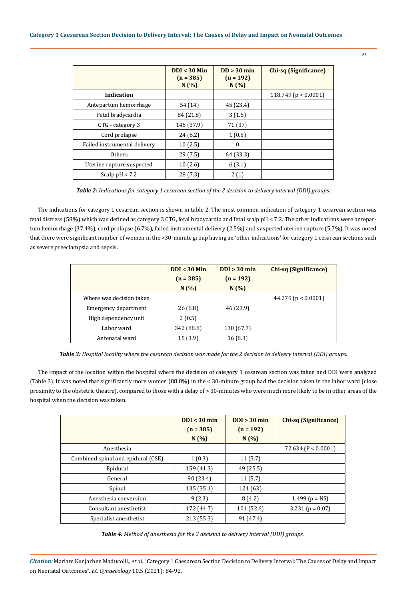|                              | $DDI < 30$ Min<br>$(n = 385)$<br>N(%) | $DD > 30$ min<br>$(n = 192)$<br>N(%) | <b>Chi-sq (Significance)</b> |
|------------------------------|---------------------------------------|--------------------------------------|------------------------------|
| Indication                   |                                       |                                      | 118.749 ( $p < 0.0001$ )     |
| Antepartum hemorrhage        | 54 (14)                               | 45 (23.4)                            |                              |
| Fetal bradycardia            | 84 (21.8)                             | 3(1.6)                               |                              |
| CTG - category 3             | 146 (37.9)                            | 71 (37)                              |                              |
| Cord prolapse                | 24(6.2)                               | 1(0.5)                               |                              |
| Failed instrumental delivery | 10(2.5)                               | $\theta$                             |                              |
| <b>Others</b>                | 29(7.5)                               | 64 (33.3)                            |                              |
| Uterine rupture suspected    | 10(2.6)                               | 6(3.1)                               |                              |
| Scalp $pH < 7.2$             | 28 (7.3)                              | 2(1)                                 |                              |

*Table 2: Indications for category 1 cesarean section of the 2 decision to delivery interval (DDI) groups.*

The indications for category 1 cesarean section is shown in table 2. The most common indication of category 1 cesarean section was fetal distress (58%) which was defined as category 3 CTG, fetal bradycardia and fetal scalp pH < 7.2. The other indications were antepartum hemorrhage (37.4%), cord prolapse (6.7%), failed instrumental delivery (2.5%) and suspected uterine rupture (5.7%). It was noted that there were significant number of women in the >30-minute group having an 'other indications' for category 1 cesarean sections such as severe preeclampsia and sepsis.

|                          | $DDI < 30$ Min | $DDI > 30$ min | <b>Chi-sq (Significance)</b> |
|--------------------------|----------------|----------------|------------------------------|
|                          | $(n = 385)$    | $(n = 192)$    |                              |
|                          | N(%)           | N(%)           |                              |
| Where was decision taken |                |                | 44.279 ( $p < 0.0001$ )      |
| Emergency department     | 26(6.8)        | 46 (23.9)      |                              |
| High dependency unit     | 2(0.5)         |                |                              |
| Labor ward               | 342 (88.8)     | 130 (67.7)     |                              |
| Antenatal ward           | 15(3.9)        | 16(8.3)        |                              |

*Table 3: Hospital locality where the cesarean decision was made for the 2 decision to delivery interval (DDI) groups.*

The impact of the location within the hospital where the decision of category 1 cesarean section was taken and DDI were analyzed (Table 3). It was noted that significantly more women (88.8%) in the < 30-minute group had the decision taken in the labor ward (close proximity to the obstetric theatre), compared to those with a delay of > 30-minutes who were much more likely to be in other areas of the hospital when the decision was taken.

|                                    | $DDI < 30$ min | $DDI > 30$ min | <b>Chi-sq (Significance)</b> |
|------------------------------------|----------------|----------------|------------------------------|
|                                    | $(n = 385)$    | $(n = 192)$    |                              |
|                                    | N(%)           | N(%)           |                              |
| Anesthesia                         |                |                | 72.634 ( $P < 0.0001$ )      |
| Combined spinal and epidural (CSE) | 1(0.3)         | 11(5.7)        |                              |
| Epidural                           | 159 (41.3)     | 49 (25.5)      |                              |
| General                            | 90 (23.4)      | 11(5.7)        |                              |
| Spinal                             | 135(35.1)      | 121 (63)       |                              |
| Anesthesia conversion              | 9(2.3)         | 8(4.2)         | 1.499 ( $p = NS$ )           |
| Consultant anesthetist             | 172 (44.7)     | 101 (52.6)     | $3.231$ (p = 0.07)           |
| Specialist anesthetist             | 213 (55.3)     | 91 (47.4)      |                              |

*Table 4: Method of anesthesia for the 2 decision to delivery interval (DDI) groups.*

*Citation:* Mariam Kunjachen Maducolil., *et al.* "Category 1 Caesarean Section Decision to Delivery Interval: The Causes of Delay and Impact on Neonatal Outcomes". *EC Gynaecology* 10.5 (2021): 84-92.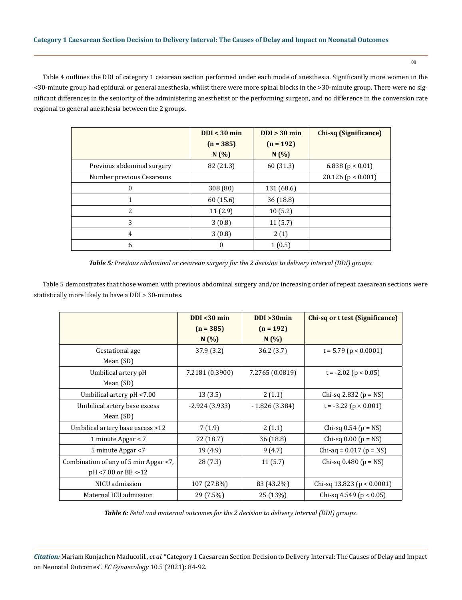Table 4 outlines the DDI of category 1 cesarean section performed under each mode of anesthesia. Significantly more women in the <30-minute group had epidural or general anesthesia, whilst there were more spinal blocks in the >30-minute group. There were no significant differences in the seniority of the administering anesthetist or the performing surgeon, and no difference in the conversion rate regional to general anesthesia between the 2 groups.

|                            | DDI < 30 min | DDI > 30 min | <b>Chi-sq (Significance)</b> |
|----------------------------|--------------|--------------|------------------------------|
|                            | $(n = 385)$  | $(n = 192)$  |                              |
|                            | N(%)         | N(%)         |                              |
| Previous abdominal surgery | 82 (21.3)    | 60 (31.3)    | 6.838 ( $p < 0.01$ )         |
| Number previous Cesareans  |              |              | $20.126$ (p < 0.001)         |
| $\Omega$                   | 308 (80)     | 131 (68.6)   |                              |
|                            | 60 (15.6)    | 36 (18.8)    |                              |
| 2                          | 11(2.9)      | 10(5.2)      |                              |
| 3                          | 3(0.8)       | 11(5.7)      |                              |
| 4                          | 3(0.8)       | 2(1)         |                              |
| 6                          | 0            | 1(0.5)       |                              |

*Table 5: Previous abdominal or cesarean surgery for the 2 decision to delivery interval (DDI) groups.*

Table 5 demonstrates that those women with previous abdominal surgery and/or increasing order of repeat caesarean sections were statistically more likely to have a DDI > 30-minutes.

|                                       | DDI < 30 min    | $DDI > 30$ min  | Chi-sq or t test (Significance) |
|---------------------------------------|-----------------|-----------------|---------------------------------|
|                                       | $(n = 385)$     | $(n = 192)$     |                                 |
|                                       | N(%)            | N(%             |                                 |
| Gestational age                       | 37.9(3.2)       | 36.2(3.7)       | $t = 5.79$ (p < 0.0001)         |
| Mean (SD)                             |                 |                 |                                 |
| Umbilical artery pH                   | 7.2181 (0.3900) | 7.2765 (0.0819) | $t = -2.02$ ( $p < 0.05$ )      |
| Mean (SD)                             |                 |                 |                                 |
| Umbilical artery pH <7.00             | 13(3.5)         | 2(1.1)          | Chi-sq 2.832 ( $p = NS$ )       |
| Umbilical artery base excess          | $-2.924(3.933)$ | $-1.826(3.384)$ | $t = -3.22$ ( $p < 0.001$ )     |
| Mean (SD)                             |                 |                 |                                 |
| Umbilical artery base excess >12      | 7(1.9)          | 2(1.1)          | Chi-sq $0.54$ ( $p = NS$ )      |
| 1 minute Apgar $<$ 7                  | 72 (18.7)       | 36 (18.8)       | Chi-sq $0.00$ ( $p = NS$ )      |
| 5 minute Apgar <7                     | 19 (4.9)        | 9(4.7)          | Chi-aq = $0.017$ (p = NS)       |
| Combination of any of 5 min Apgar <7, | 28 (7.3)        | 11(5.7)         | Chi-sq $0.480$ (p = NS)         |
| pH <7.00 or BE <-12                   |                 |                 |                                 |
| NICU admission                        | 107 (27.8%)     | 83 (43.2%)      | Chi-sq 13.823 ( $p < 0.0001$ )  |
| Maternal ICU admission                | 29 (7.5%)       | 25 (13%)        | Chi-sq 4.549 ( $p < 0.05$ )     |

*Table 6: Fetal and maternal outcomes for the 2 decision to delivery interval (DDI) groups.*

*Citation:* Mariam Kunjachen Maducolil., *et al.* "Category 1 Caesarean Section Decision to Delivery Interval: The Causes of Delay and Impact on Neonatal Outcomes". *EC Gynaecology* 10.5 (2021): 84-92.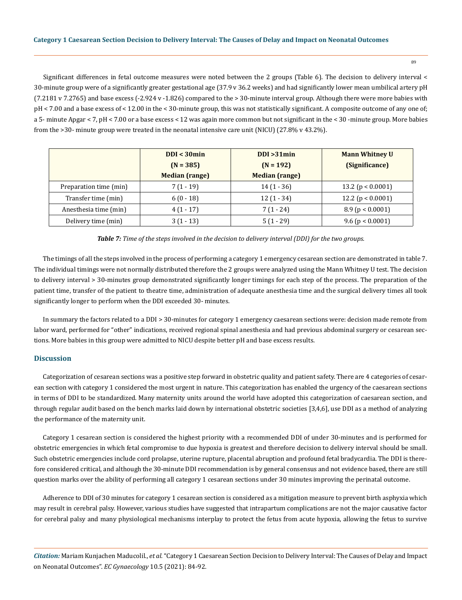Significant differences in fetal outcome measures were noted between the 2 groups (Table 6). The decision to delivery interval < 30-minute group were of a significantly greater gestational age (37.9 v 36.2 weeks) and had significantly lower mean umbilical artery pH (7.2181 v 7.2765) and base excess (-2.924 v -1.826) compared to the > 30-minute interval group. Although there were more babies with pH < 7.00 and a base excess of < 12.00 in the < 30-minute group, this was not statistically significant. A composite outcome of any one of; a 5- minute Apgar < 7, pH < 7.00 or a base excess < 12 was again more common but not significant in the < 30 -minute group. More babies from the >30- minute group were treated in the neonatal intensive care unit (NICU) (27.8% v 43.2%).

|                        | DDI < 30min           | DDI > 31min           | <b>Mann Whitney U</b> |
|------------------------|-----------------------|-----------------------|-----------------------|
|                        | $(N = 385)$           | $(N = 192)$           | (Significance)        |
|                        | <b>Median (range)</b> | <b>Median (range)</b> |                       |
| Preparation time (min) | $7(1-19)$             | $14(1 - 36)$          | 13.2 ( $p < 0.0001$ ) |
| Transfer time (min)    | $6(0-18)$             | $12(1 - 34)$          | 12.2 ( $p < 0.0001$ ) |
| Anesthesia time (min)  | $4(1-17)$             | $7(1 - 24)$           | 8.9(p < 0.0001)       |
| Delivery time (min)    | $3(1 - 13)$           | $5(1 - 29)$           | $9.6$ (p < 0.0001)    |

*Table 7: Time of the steps involved in the decision to delivery interval (DDI) for the two groups.*

The timings of all the steps involved in the process of performing a category 1 emergency cesarean section are demonstrated in table 7. The individual timings were not normally distributed therefore the 2 groups were analyzed using the Mann Whitney U test. The decision to delivery interval > 30-minutes group demonstrated significantly longer timings for each step of the process. The preparation of the patient time, transfer of the patient to theatre time, administration of adequate anesthesia time and the surgical delivery times all took significantly longer to perform when the DDI exceeded 30- minutes.

In summary the factors related to a DDI > 30-minutes for category 1 emergency caesarean sections were: decision made remote from labor ward, performed for "other" indications, received regional spinal anesthesia and had previous abdominal surgery or cesarean sections. More babies in this group were admitted to NICU despite better pH and base excess results.

## **Discussion**

Categorization of cesarean sections was a positive step forward in obstetric quality and patient safety. There are 4 categories of cesarean section with category 1 considered the most urgent in nature. This categorization has enabled the urgency of the caesarean sections in terms of DDI to be standardized. Many maternity units around the world have adopted this categorization of caesarean section, and through regular audit based on the bench marks laid down by international obstetric societies [3,4,6], use DDI as a method of analyzing the performance of the maternity unit.

Category 1 cesarean section is considered the highest priority with a recommended DDI of under 30-minutes and is performed for obstetric emergencies in which fetal compromise to due hypoxia is greatest and therefore decision to delivery interval should be small. Such obstetric emergencies include cord prolapse, uterine rupture, placental abruption and profound fetal bradycardia. The DDI is therefore considered critical, and although the 30-minute DDI recommendation is by general consensus and not evidence based, there are still question marks over the ability of performing all category 1 cesarean sections under 30 minutes improving the perinatal outcome.

Adherence to DDI of 30 minutes for category 1 cesarean section is considered as a mitigation measure to prevent birth asphyxia which may result in cerebral palsy. However, various studies have suggested that intrapartum complications are not the major causative factor for cerebral palsy and many physiological mechanisms interplay to protect the fetus from acute hypoxia, allowing the fetus to survive

*Citation:* Mariam Kunjachen Maducolil., *et al.* "Category 1 Caesarean Section Decision to Delivery Interval: The Causes of Delay and Impact on Neonatal Outcomes". *EC Gynaecology* 10.5 (2021): 84-92.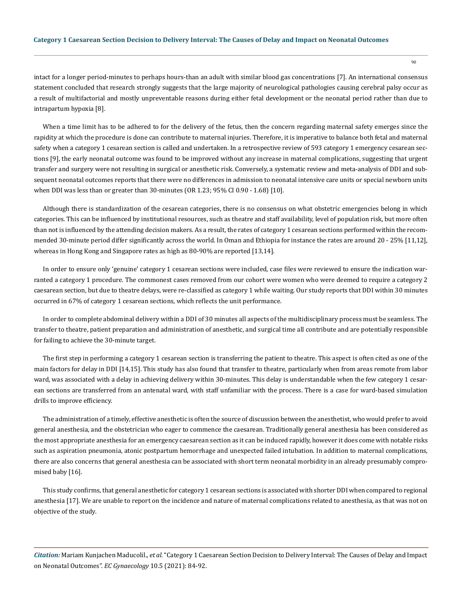intact for a longer period-minutes to perhaps hours-than an adult with similar blood gas concentrations [7]. An international consensus statement concluded that research strongly suggests that the large majority of neurological pathologies causing cerebral palsy occur as a result of multifactorial and mostly unpreventable reasons during either fetal development or the neonatal period rather than due to intrapartum hypoxia [8].

When a time limit has to be adhered to for the delivery of the fetus, then the concern regarding maternal safety emerges since the rapidity at which the procedure is done can contribute to maternal injuries. Therefore, it is imperative to balance both fetal and maternal safety when a category 1 cesarean section is called and undertaken. In a retrospective review of 593 category 1 emergency cesarean sections [9], the early neonatal outcome was found to be improved without any increase in maternal complications, suggesting that urgent transfer and surgery were not resulting in surgical or anesthetic risk. Conversely, a systematic review and meta-analysis of DDI and subsequent neonatal outcomes reports that there were no differences in admission to neonatal intensive care units or special newborn units when DDI was less than or greater than 30-minutes (OR 1.23; 95% CI 0.90 - 1.68) [10].

Although there is standardization of the cesarean categories, there is no consensus on what obstetric emergencies belong in which categories. This can be influenced by institutional resources, such as theatre and staff availability, level of population risk, but more often than not is influenced by the attending decision makers. As a result, the rates of category 1 cesarean sections performed within the recommended 30-minute period differ significantly across the world. In Oman and Ethiopia for instance the rates are around 20 - 25% [11,12], whereas in Hong Kong and Singapore rates as high as 80-90% are reported [13,14].

In order to ensure only 'genuine' category 1 cesarean sections were included, case files were reviewed to ensure the indication warranted a category 1 procedure. The commonest cases removed from our cohort were women who were deemed to require a category 2 caesarean section, but due to theatre delays, were re-classified as category 1 while waiting. Our study reports that DDI within 30 minutes occurred in 67% of category 1 cesarean sections, which reflects the unit performance.

In order to complete abdominal delivery within a DDI of 30 minutes all aspects of the multidisciplinary process must be seamless. The transfer to theatre, patient preparation and administration of anesthetic, and surgical time all contribute and are potentially responsible for failing to achieve the 30-minute target.

The first step in performing a category 1 cesarean section is transferring the patient to theatre. This aspect is often cited as one of the main factors for delay in DDI [14,15]. This study has also found that transfer to theatre, particularly when from areas remote from labor ward, was associated with a delay in achieving delivery within 30-minutes. This delay is understandable when the few category 1 cesarean sections are transferred from an antenatal ward, with staff unfamiliar with the process. There is a case for ward-based simulation drills to improve efficiency.

The administration of a timely, effective anesthetic is often the source of discussion between the anesthetist, who would prefer to avoid general anesthesia, and the obstetrician who eager to commence the caesarean. Traditionally general anesthesia has been considered as the most appropriate anesthesia for an emergency caesarean section as it can be induced rapidly, however it does come with notable risks such as aspiration pneumonia, atonic postpartum hemorrhage and unexpected failed intubation. In addition to maternal complications, there are also concerns that general anesthesia can be associated with short term neonatal morbidity in an already presumably compromised baby [16].

This study confirms, that general anesthetic for category 1 cesarean sections is associated with shorter DDI when compared to regional anesthesia [17]. We are unable to report on the incidence and nature of maternal complications related to anesthesia, as that was not on objective of the study.

*Citation:* Mariam Kunjachen Maducolil., *et al.* "Category 1 Caesarean Section Decision to Delivery Interval: The Causes of Delay and Impact on Neonatal Outcomes". *EC Gynaecology* 10.5 (2021): 84-92.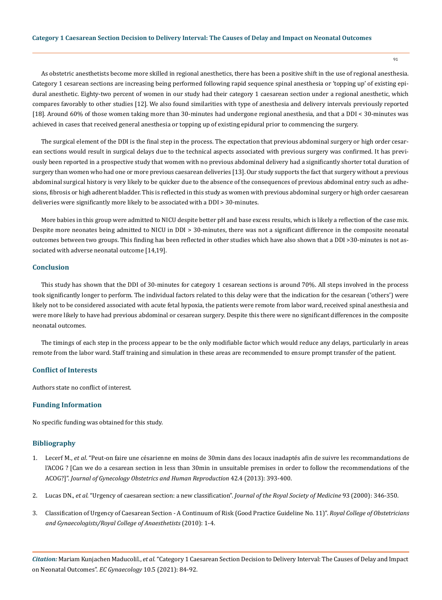As obstetric anesthetists become more skilled in regional anesthetics, there has been a positive shift in the use of regional anesthesia. Category 1 cesarean sections are increasing being performed following rapid sequence spinal anesthesia or 'topping up' of existing epidural anesthetic. Eighty-two percent of women in our study had their category 1 caesarean section under a regional anesthetic, which compares favorably to other studies [12]. We also found similarities with type of anesthesia and delivery intervals previously reported [18]. Around 60% of those women taking more than 30-minutes had undergone regional anesthesia, and that a DDI < 30-minutes was achieved in cases that received general anesthesia or topping up of existing epidural prior to commencing the surgery.

The surgical element of the DDI is the final step in the process. The expectation that previous abdominal surgery or high order cesarean sections would result in surgical delays due to the technical aspects associated with previous surgery was confirmed. It has previously been reported in a prospective study that women with no previous abdominal delivery had a significantly shorter total duration of surgery than women who had one or more previous caesarean deliveries [13]. Our study supports the fact that surgery without a previous abdominal surgical history is very likely to be quicker due to the absence of the consequences of previous abdominal entry such as adhesions, fibrosis or high adherent bladder. This is reflected in this study as women with previous abdominal surgery or high order caesarean deliveries were significantly more likely to be associated with a DDI > 30-minutes.

More babies in this group were admitted to NICU despite better pH and base excess results, which is likely a reflection of the case mix. Despite more neonates being admitted to NICU in DDI > 30-minutes, there was not a significant difference in the composite neonatal outcomes between two groups. This finding has been reflected in other studies which have also shown that a DDI >30-minutes is not associated with adverse neonatal outcome [14,19].

#### **Conclusion**

This study has shown that the DDI of 30-minutes for category 1 cesarean sections is around 70%. All steps involved in the process took significantly longer to perform. The individual factors related to this delay were that the indication for the cesarean ('others') were likely not to be considered associated with acute fetal hypoxia, the patients were remote from labor ward, received spinal anesthesia and were more likely to have had previous abdominal or cesarean surgery. Despite this there were no significant differences in the composite neonatal outcomes.

The timings of each step in the process appear to be the only modifiable factor which would reduce any delays, particularly in areas remote from the labor ward. Staff training and simulation in these areas are recommended to ensure prompt transfer of the patient.

## **Conflict of Interests**

Authors state no conflict of interest.

### **Funding Information**

No specific funding was obtained for this study.

## **Bibliography**

- 1. Lecerf M., *et al*[. "Peut-on faire une césarienne en moins de 30min dans des locaux inadaptés afin de suivre les recommandations de](https://www.em-consulte.com/article/811158/figures/peut-on-faire-une-cesarienne-en-moins-de-30min-dan) [l'ACOG ? \[Can we do a cesarean section in less than 30min in unsuitable premises in order to follow the recommendations of the](https://www.em-consulte.com/article/811158/figures/peut-on-faire-une-cesarienne-en-moins-de-30min-dan)  ACOG?]". *[Journal of Gynecology Obstetrics and Human Reproduction](https://www.em-consulte.com/article/811158/figures/peut-on-faire-une-cesarienne-en-moins-de-30min-dan)* 42.4 (2013): 393-400.
- 2. Lucas DN., *et al*[. "Urgency of caesarean section: a new classification".](https://pubmed.ncbi.nlm.nih.gov/10928020/) *Journal of the Royal Society of Medicine* 93 (2000): 346-350.
- 3. [Classification of Urgency of Caesarean Section A Continuum of Risk \(Good Practice Guideline No. 11\)".](https://www.rcog.org.uk/globalassets/documents/guidelines/goodpractice11classificationofurgency.pdf) *Royal College of Obstetricians [and Gynaecologists/Royal College of Anaesthetists](https://www.rcog.org.uk/globalassets/documents/guidelines/goodpractice11classificationofurgency.pdf)* (2010): 1-4.